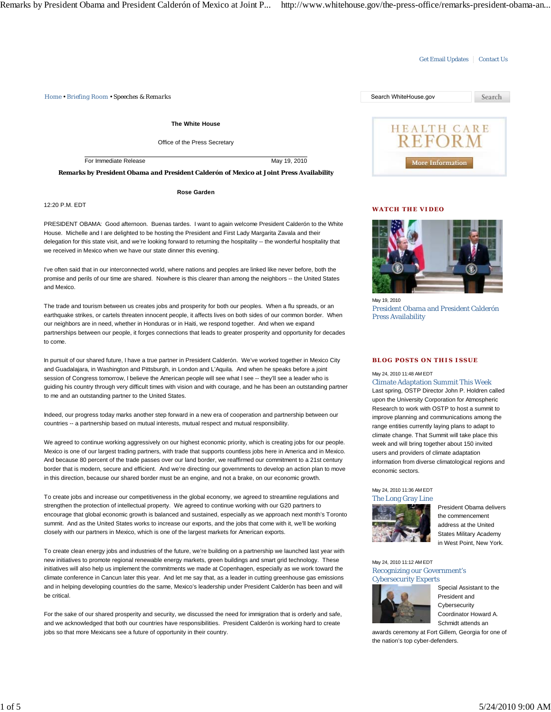Get Email Updates | Contact Us

*Home • Briefing Room • Speeches & Remarks* Search WhiteHouse.gov

**The White House**

Office of the Press Secretary

For Immediate Release May 19, 2010

**Remarks by President Obama and President Calderón of Mexico at Joint Press Availability**

**Rose Garden**

### 12:20 P.M. EDT

PRESIDENT OBAMA: Good afternoon. Buenas tardes. I want to again welcome President Calderón to the White House. Michelle and I are delighted to be hosting the President and First Lady Margarita Zavala and their delegation for this state visit, and we're looking forward to returning the hospitality -- the wonderful hospitality that we received in Mexico when we have our state dinner this evening.

I've often said that in our interconnected world, where nations and peoples are linked like never before, both the promise and perils of our time are shared. Nowhere is this clearer than among the neighbors -- the United States and Mexico.

The trade and tourism between us creates jobs and prosperity for both our peoples. When a flu spreads, or an earthquake strikes, or cartels threaten innocent people, it affects lives on both sides of our common border. When our neighbors are in need, whether in Honduras or in Haiti, we respond together. And when we expand partnerships between our people, it forges connections that leads to greater prosperity and opportunity for decades to come.

In pursuit of our shared future, I have a true partner in President Calderón. We've worked together in Mexico City and Guadalajara, in Washington and Pittsburgh, in London and L'Aquila. And when he speaks before a joint session of Congress tomorrow, I believe the American people will see what I see -- they'll see a leader who is guiding his country through very difficult times with vision and with courage, and he has been an outstanding partner to me and an outstanding partner to the United States.

Indeed, our progress today marks another step forward in a new era of cooperation and partnership between our countries -- a partnership based on mutual interests, mutual respect and mutual responsibility.

We agreed to continue working aggressively on our highest economic priority, which is creating jobs for our people. Mexico is one of our largest trading partners, with trade that supports countless jobs here in America and in Mexico. And because 80 percent of the trade passes over our land border, we reaffirmed our commitment to a 21st century border that is modern, secure and efficient. And we're directing our governments to develop an action plan to move in this direction, because our shared border must be an engine, and not a brake, on our economic growth.

To create jobs and increase our competitiveness in the global economy, we agreed to streamline regulations and strengthen the protection of intellectual property. We agreed to continue working with our G20 partners to encourage that global economic growth is balanced and sustained, especially as we approach next month's Toronto summit. And as the United States works to increase our exports, and the jobs that come with it, we'll be working closely with our partners in Mexico, which is one of the largest markets for American exports.

To create clean energy jobs and industries of the future, we're building on a partnership we launched last year with new initiatives to promote regional renewable energy markets, green buildings and smart grid technology. These initiatives will also help us implement the commitments we made at Copenhagen, especially as we work toward the climate conference in Cancun later this year. And let me say that, as a leader in cutting greenhouse gas emissions and in helping developing countries do the same, Mexico's leadership under President Calderón has been and will be critical.

For the sake of our shared prosperity and security, we discussed the need for immigration that is orderly and safe, and we acknowledged that both our countries have responsibilities. President Calderón is working hard to create jobs so that more Mexicans see a future of opportunity in their country.



# **WATCH THE VIDEO**



May 19, 2010 President Obama and President Calderón Press Availability

# **BLOG POSTS ON THIS ISSUE**

May 24, 2010 11:48 AM EDT

Climate Adaptation Summit This Week Last spring, OSTP Director John P. Holdren called upon the University Corporation for Atmospheric Research to work with OSTP to host a summit to improve planning and communications among the range entities currently laying plans to adapt to climate change. That Summit will take place this week and will bring together about 150 invited users and providers of climate adaptation information from diverse climatological regions and economic sectors.

#### May 24, 2010 11:36 AM EDT The Long Gray Line



President Obama delivers the commencement address at the United States Military Academy in West Point, New York.

May 24, 2010 11:12 AM EDT Recognizing our Government's Cybersecurity Experts



Special Assistant to the President and **Cybersecurity** Coordinator Howard A. Schmidt attends an

awards ceremony at Fort Gillem, Georgia for one of the nation's top cyber-defenders.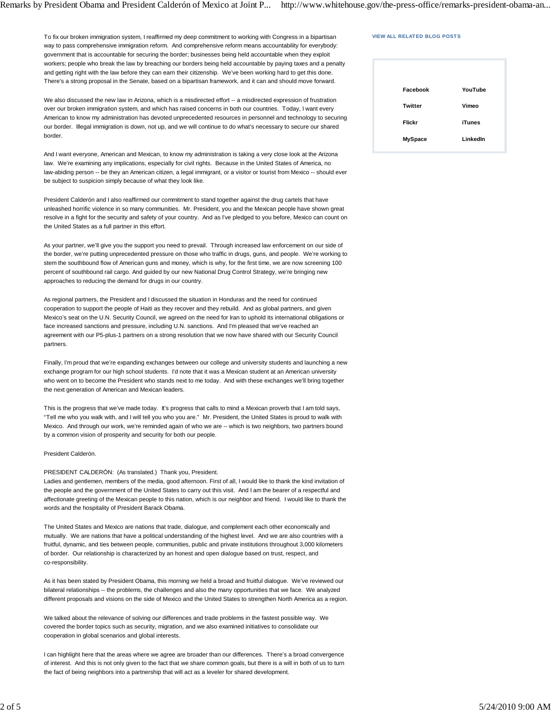To fix our broken immigration system, I reaffirmed my deep commitment to working with Congress in a bipartisan way to pass comprehensive immigration reform. And comprehensive reform means accountability for everybody: government that is accountable for securing the border; businesses being held accountable when they exploit workers; people who break the law by breaching our borders being held accountable by paying taxes and a penalty and getting right with the law before they can earn their citizenship. We've been working hard to get this done. There's a strong proposal in the Senate, based on a bipartisan framework, and it can and should move forward.

We also discussed the new law in Arizona, which is a misdirected effort -- a misdirected expression of frustration over our broken immigration system, and which has raised concerns in both our countries. Today, I want every American to know my administration has devoted unprecedented resources in personnel and technology to securing our border. Illegal immigration is down, not up, and we will continue to do what's necessary to secure our shared border.

And I want everyone, American and Mexican, to know my administration is taking a very close look at the Arizona law. We're examining any implications, especially for civil rights. Because in the United States of America, no law-abiding person -- be they an American citizen, a legal immigrant, or a visitor or tourist from Mexico -- should ever be subject to suspicion simply because of what they look like.

President Calderón and I also reaffirmed our commitment to stand together against the drug cartels that have unleashed horrific violence in so many communities. Mr. President, you and the Mexican people have shown great resolve in a fight for the security and safety of your country. And as I've pledged to you before, Mexico can count on the United States as a full partner in this effort.

As your partner, we'll give you the support you need to prevail. Through increased law enforcement on our side of the border, we're putting unprecedented pressure on those who traffic in drugs, guns, and people. We're working to stem the southbound flow of American guns and money, which is why, for the first time, we are now screening 100 percent of southbound rail cargo. And guided by our new National Drug Control Strategy, we're bringing new approaches to reducing the demand for drugs in our country.

As regional partners, the President and I discussed the situation in Honduras and the need for continued cooperation to support the people of Haiti as they recover and they rebuild. And as global partners, and given Mexico's seat on the U.N. Security Council, we agreed on the need for Iran to uphold its international obligations or face increased sanctions and pressure, including U.N. sanctions. And I'm pleased that we've reached an agreement with our P5-plus-1 partners on a strong resolution that we now have shared with our Security Council partners.

Finally, I'm proud that we're expanding exchanges between our college and university students and launching a new exchange program for our high school students. I'd note that it was a Mexican student at an American university who went on to become the President who stands next to me today. And with these exchanges we'll bring together the next generation of American and Mexican leaders.

This is the progress that we've made today. It's progress that calls to mind a Mexican proverb that I am told says, "Tell me who you walk with, and I will tell you who you are." Mr. President, the United States is proud to walk with Mexico. And through our work, we're reminded again of who we are -- which is two neighbors, two partners bound by a common vision of prosperity and security for both our people.

President Calderón.

#### PRESIDENT CALDERÓN: (As translated.) Thank you, President.

Ladies and gentlemen, members of the media, good afternoon. First of all, I would like to thank the kind invitation of the people and the government of the United States to carry out this visit. And I am the bearer of a respectful and affectionate greeting of the Mexican people to this nation, which is our neighbor and friend. I would like to thank the words and the hospitality of President Barack Obama.

The United States and Mexico are nations that trade, dialogue, and complement each other economically and mutually. We are nations that have a political understanding of the highest level. And we are also countries with a fruitful, dynamic, and ties between people, communities, public and private institutions throughout 3,000 kilometers of border. Our relationship is characterized by an honest and open dialogue based on trust, respect, and co-responsibility.

As it has been stated by President Obama, this morning we held a broad and fruitful dialogue. We've reviewed our bilateral relationships -- the problems, the challenges and also the many opportunities that we face. We analyzed different proposals and visions on the side of Mexico and the United States to strengthen North America as a region.

We talked about the relevance of solving our differences and trade problems in the fastest possible way. We covered the border topics such as security, migration, and we also examined initiatives to consolidate our cooperation in global scenarios and global interests.

I can highlight here that the areas where we agree are broader than our differences. There's a broad convergence of interest. And this is not only given to the fact that we share common goals, but there is a will in both of us to turn the fact of being neighbors into a partnership that will act as a leveler for shared development.

# **VIEW ALL RELATED BLOG POSTS**

| Facebook       | YouTube       |
|----------------|---------------|
| <b>Twitter</b> | Vimeo         |
| Flickr         | <b>iTunes</b> |
| <b>MySpace</b> | LinkedIn      |
|                |               |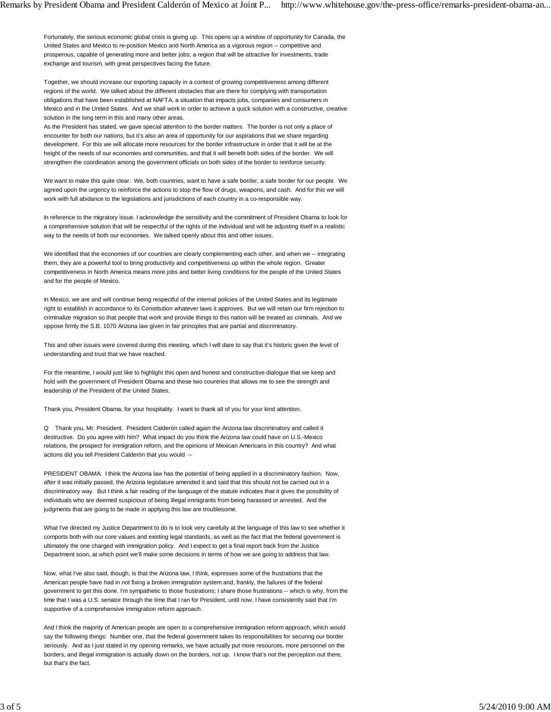Fortunately, the serious economic global crisis is giving up. This opens up a window of opportunity for Canada, the United States and Mexico to re-position Mexico and North America as a vigorous region -- competitive and prosperous, capable of generating more and better jobs; a region that will be attractive for investments, trade exchange and tourism, with great perspectives facing the future.

Together, we should increase our exporting capacity in a contest of growing competitiveness among different regions of the world. We talked about the different obstacles that are there for complying with transportation obligations that have been established at NAFTA, a situation that impacts jobs, companies and consumers in Mexico and in the United States. And we shall work in order to achieve a quick solution with a constructive, creative solution in the long term in this and many other areas.

As the President has stated, we gave special attention to the border matters. The border is not only a place of encounter for both our nations, but it's also an area of opportunity for our aspirations that we share regarding development. For this we will allocate more resources for the border infrastructure in order that it will be at the height of the needs of our economies and communities, and that it will benefit both sides of the border. We will strengthen the coordination among the government officials on both sides of the border to reinforce security.

We want to make this quite clear: We, both countries, want to have a safe border, a safe border for our people. We agreed upon the urgency to reinforce the actions to stop the flow of drugs, weapons, and cash. And for this we will work with full abidance to the legislations and jurisdictions of each country in a co-responsible way.

In reference to the migratory issue, I acknowledge the sensitivity and the commitment of President Obama to look for a comprehensive solution that will be respectful of the rights of the individual and will be adjusting itself in a realistic way to the needs of both our economies. We talked openly about this and other issues.

We identified that the economies of our countries are clearly complementing each other, and when we -- integrating them, they are a powerful tool to bring productivity and competitiveness up within the whole region. Greater competitiveness in North America means more jobs and better living conditions for the people of the United States and for the people of Mexico.

In Mexico, we are and will continue being respectful of the internal policies of the United States and its legitimate right to establish in accordance to its Constitution whatever laws it approves. But we will retain our firm rejection to criminalize migration so that people that work and provide things to this nation will be treated as criminals. And we oppose firmly the S.B. 1070 Arizona law given in fair principles that are partial and discriminatory.

This and other issues were covered during this meeting, which I will dare to say that it's historic given the level of understanding and trust that we have reached.

For the meantime, I would just like to highlight this open and honest and constructive dialogue that we keep and hold with the government of President Obama and these two countries that allows me to see the strength and leadership of the President of the United States.

Thank you, President Obama, for your hospitality. I want to thank all of you for your kind attention.

Q Thank you, Mr. President. President Calderón called again the Arizona law discriminatory and called it destructive. Do you agree with him? What impact do you think the Arizona law could have on U.S.-Mexico relations, the prospect for immigration reform, and the opinions of Mexican Americans in this country? And what actions did you tell President Calderón that you would --

PRESIDENT OBAMA: I think the Arizona law has the potential of being applied in a discriminatory fashion. Now, after it was initially passed, the Arizona legislature amended it and said that this should not be carried out in a discriminatory way. But I think a fair reading of the language of the statute indicates that it gives the possibility of individuals who are deemed suspicious of being illegal immigrants from being harassed or arrested. And the judgments that are going to be made in applying this law are troublesome.

What I've directed my Justice Department to do is to look very carefully at the language of this law to see whether it comports both with our core values and existing legal standards, as well as the fact that the federal government is ultimately the one charged with immigration policy. And I expect to get a final report back from the Justice Department soon, at which point we'll make some decisions in terms of how we are going to address that law.

Now, what I've also said, though, is that the Arizona law, I think, expresses some of the frustrations that the American people have had in not fixing a broken immigration system and, frankly, the failures of the federal government to get this done. I'm sympathetic to those frustrations; I share those frustrations -- which is why, from the time that I was a U.S. senator through the time that I ran for President, until now, I have consistently said that I'm supportive of a comprehensive immigration reform approach.

And I think the majority of American people are open to a comprehensive immigration reform approach, which would say the following things: Number one, that the federal government takes its responsibilities for securing our border seriously. And as I just stated in my opening remarks, we have actually put more resources, more personnel on the borders, and illegal immigration is actually down on the borders, not up. I know that's not the perception out there, but that's the fact.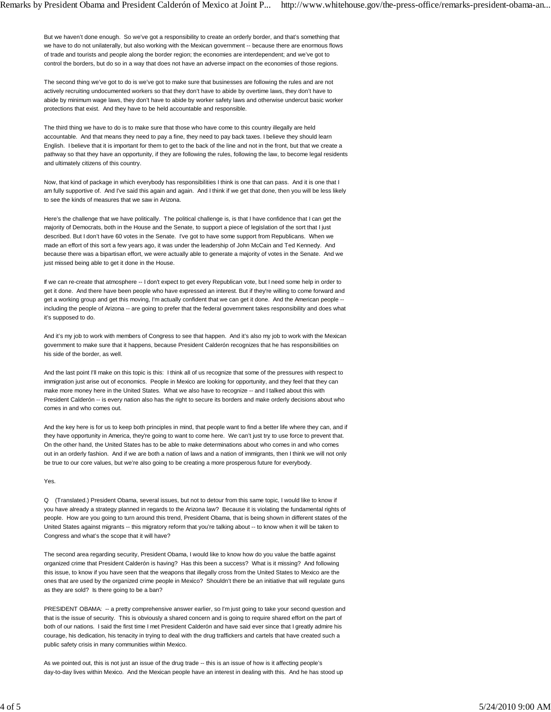But we haven't done enough. So we've got a responsibility to create an orderly border, and that's something that we have to do not unilaterally, but also working with the Mexican government -- because there are enormous flows of trade and tourists and people along the border region; the economies are interdependent; and we've got to control the borders, but do so in a way that does not have an adverse impact on the economies of those regions.

The second thing we've got to do is we've got to make sure that businesses are following the rules and are not actively recruiting undocumented workers so that they don't have to abide by overtime laws, they don't have to abide by minimum wage laws, they don't have to abide by worker safety laws and otherwise undercut basic worker protections that exist. And they have to be held accountable and responsible.

The third thing we have to do is to make sure that those who have come to this country illegally are held accountable. And that means they need to pay a fine, they need to pay back taxes. I believe they should learn English. I believe that it is important for them to get to the back of the line and not in the front, but that we create a pathway so that they have an opportunity, if they are following the rules, following the law, to become legal residents and ultimately citizens of this country.

Now, that kind of package in which everybody has responsibilities I think is one that can pass. And it is one that I am fully supportive of. And I've said this again and again. And I think if we get that done, then you will be less likely to see the kinds of measures that we saw in Arizona.

Here's the challenge that we have politically. The political challenge is, is that I have confidence that I can get the majority of Democrats, both in the House and the Senate, to support a piece of legislation of the sort that I just described. But I don't have 60 votes in the Senate. I've got to have some support from Republicans. When we made an effort of this sort a few years ago, it was under the leadership of John McCain and Ted Kennedy. And because there was a bipartisan effort, we were actually able to generate a majority of votes in the Senate. And we just missed being able to get it done in the House.

If we can re-create that atmosphere -- I don't expect to get every Republican vote, but I need some help in order to get it done. And there have been people who have expressed an interest. But if they're willing to come forward and get a working group and get this moving, I'm actually confident that we can get it done. And the American people - including the people of Arizona -- are going to prefer that the federal government takes responsibility and does what it's supposed to do.

And it's my job to work with members of Congress to see that happen. And it's also my job to work with the Mexican government to make sure that it happens, because President Calderón recognizes that he has responsibilities on his side of the border, as well.

And the last point I'll make on this topic is this: I think all of us recognize that some of the pressures with respect to immigration just arise out of economics. People in Mexico are looking for opportunity, and they feel that they can make more money here in the United States. What we also have to recognize -- and I talked about this with President Calderón -- is every nation also has the right to secure its borders and make orderly decisions about who comes in and who comes out.

And the key here is for us to keep both principles in mind, that people want to find a better life where they can, and if they have opportunity in America, they're going to want to come here. We can't just try to use force to prevent that. On the other hand, the United States has to be able to make determinations about who comes in and who comes out in an orderly fashion. And if we are both a nation of laws and a nation of immigrants, then I think we will not only be true to our core values, but we're also going to be creating a more prosperous future for everybody.

Yes.

Q (Translated.) President Obama, several issues, but not to detour from this same topic, I would like to know if you have already a strategy planned in regards to the Arizona law? Because it is violating the fundamental rights of people. How are you going to turn around this trend, President Obama, that is being shown in different states of the United States against migrants -- this migratory reform that you're talking about -- to know when it will be taken to Congress and what's the scope that it will have?

The second area regarding security, President Obama, I would like to know how do you value the battle against organized crime that President Calderón is having? Has this been a success? What is it missing? And following this issue, to know if you have seen that the weapons that illegally cross from the United States to Mexico are the ones that are used by the organized crime people in Mexico? Shouldn't there be an initiative that will regulate guns as they are sold? Is there going to be a ban?

PRESIDENT OBAMA: -- a pretty comprehensive answer earlier, so I'm just going to take your second question and that is the issue of security. This is obviously a shared concern and is going to require shared effort on the part of both of our nations. I said the first time I met President Calderón and have said ever since that I greatly admire his courage, his dedication, his tenacity in trying to deal with the drug traffickers and cartels that have created such a public safety crisis in many communities within Mexico.

As we pointed out, this is not just an issue of the drug trade -- this is an issue of how is it affecting people's day-to-day lives within Mexico. And the Mexican people have an interest in dealing with this. And he has stood up